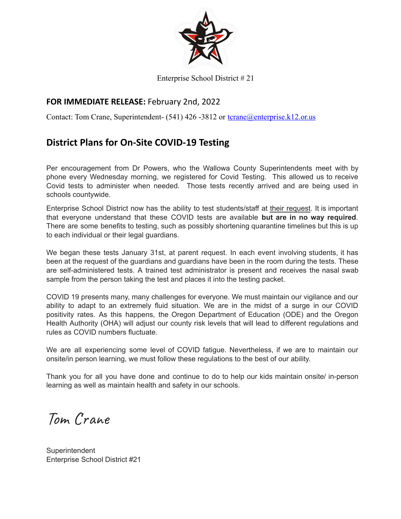

#### Enterprise School District # 21

## **FOR IMMEDIATE RELEASE:** February 2nd, 2022

Contact: Tom Crane, Superintendent- (541) 426 -3812 or tcrane@enterprise.k12.or.us

# **District Plans for On-Site COVID-19 Testing**

Per encouragement from Dr Powers, who the Wallowa County Superintendents meet with by phone every Wednesday morning, we registered for Covid Testing. This allowed us to receive Covid tests to administer when needed. Those tests recently arrived and are being used in schools countywide.

Enterprise School District now has the ability to test students/staff at their request. It is important that everyone understand that these COVID tests are available **but are in no way required**. There are some benefits to testing, such as possibly shortening quarantine timelines but this is up to each individual or their legal guardians.

We began these tests January 31st, at parent request. In each event involving students, it has been at the request of the guardians and guardians have been in the room during the tests. These are self-administered tests. A trained test administrator is present and receives the nasal swab sample from the person taking the test and places it into the testing packet.

COVID 19 presents many, many challenges for everyone. We must maintain our vigilance and our ability to adapt to an extremely fluid situation. We are in the midst of a surge in our COVID positivity rates. As this happens, the Oregon Department of Education (ODE) and the Oregon Health Authority (OHA) will adjust our county risk levels that will lead to different regulations and rules as COVID numbers fluctuate.

We are all experiencing some level of COVID fatigue. Nevertheless, if we are to maintain our onsite/in person learning, we must follow these regulations to the best of our ability.

Thank you for all you have done and continue to do to help our kids maintain onsite/ in-person learning as well as maintain health and safety in our schools.

Tom Crane

**Superintendent** Enterprise School District #21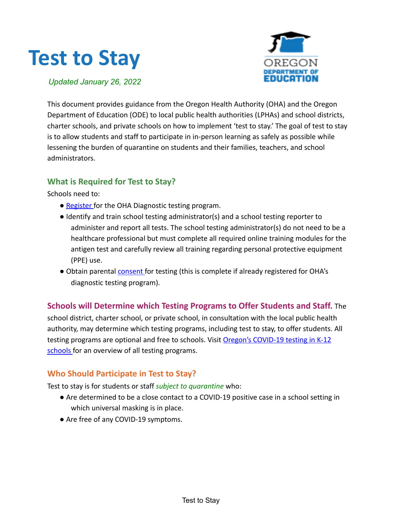# **Test to Stay**



*Updated January 26, 2022*

This document provides guidance from the Oregon Health Authority (OHA) and the Oregon Department of Education (ODE) to local public health authorities (LPHAs) and school districts, charter schools, and private schools on how to implement 'test to stay.' The goal of test to stay is to allow students and staff to participate in in-person learning as safely as possible while lessening the burden of quarantine on students and their families, teachers, and school administrators.

## **What is Required for Test to Stay?**

Schools need to:

- Register for the OHA Diagnostic testing program.
- Identify and train school testing administrator(s) and a school testing reporter to administer and report all tests. The school testing administrator(s) do not need to be a healthcare professional but must complete all required online training modules for the antigen test and carefully review all training regarding personal protective equipment (PPE) use.
- Obtain parental consent for testing (this is complete if already registered for OHA's diagnostic testing program).

# **Schools will Determine which Testing Programs to Offer Students and Staff.** The

school district, charter school, or private school, in consultation with the local public health authority, may determine which testing programs, including test to stay, to offer students. All testing programs are optional and free to schools. Visit Oregon's COVID-19 testing in K-12 schools for an overview of all testing programs.

# **Who Should Participate in Test to Stay?**

Test to stay is for students or staff *subject to quarantine* who:

- Are determined to be a close contact to a COVID-19 positive case in a school setting in which universal masking is in place.
- Are free of any COVID-19 symptoms.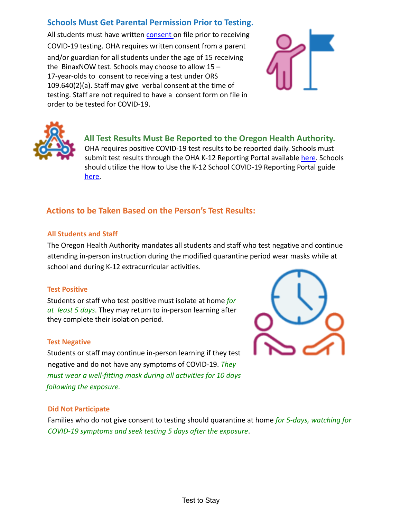## **Schools Must Get Parental Permission Prior to Testing.**

All students must have written consent on file prior to receiving COVID-19 testing. OHA requires written consent from a parent and/or guardian for all students under the age of 15 receiving the BinaxNOW test. Schools may choose to allow 15 – 17-year-olds to consent to receiving a test under ORS 109.640(2)(a). Staff may give verbal consent at the time of testing. Staff are not required to have a consent form on file in order to be tested for COVID-19.





**All Test Results Must Be Reported to the Oregon Health Authority.** OHA requires positive COVID-19 test results to be reported daily. Schools must submit test results through the OHA K-12 Reporting Portal available here. Schools should utilize the How to Use the K-12 School COVID-19 Reporting Portal guide here.

# **Actions to be Taken Based on the Person's Test Results:**

#### **All Students and Staff**

The Oregon Health Authority mandates all students and staff who test negative and continue attending in-person instruction during the modified quarantine period wear masks while at school and during K-12 extracurricular activities.

#### **Test Positive**

Students or staff who test positive must isolate at home *for at least 5 days*. They may return to in-person learning after they complete their isolation period.

#### **Test Negative**

Students or staff may continue in-person learning if they test negative and do not have any symptoms of COVID-19. *They must wear a well-fitting mask during all activities for 10 days following the exposure.*



#### **Did Not Participate**

Families who do not give consent to testing should quarantine at home *for 5-days, watching for COVID-19 symptoms and seek testing 5 days after the exposure*.